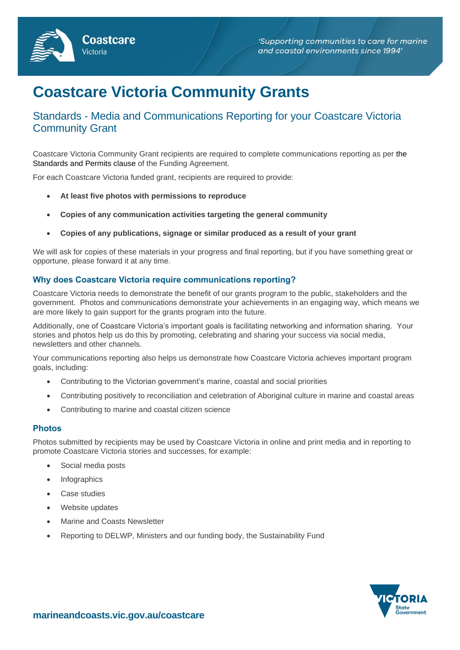

# **Coastcare Victoria Community Grants**

# Standards - Media and Communications Reporting for your Coastcare Victoria Community Grant

Coastcare Victoria Community Grant recipients are required to complete communications reporting as per the Standards and Permits clause of the Funding Agreement.

For each Coastcare Victoria funded grant, recipients are required to provide:

• **At least five photos with permissions to reproduce** 

Coastcare

Victoria

- **Copies of any communication activities targeting the general community**
- **Copies of any publications, signage or similar produced as a result of your grant**

We will ask for copies of these materials in your progress and final reporting, but if you have something great or opportune, please forward it at any time.

# **Why does Coastcare Victoria require communications reporting?**

Coastcare Victoria needs to demonstrate the benefit of our grants program to the public, stakeholders and the government. Photos and communications demonstrate your achievements in an engaging way, which means we are more likely to gain support for the grants program into the future.

Additionally, one of Coastcare Victoria's important goals is facilitating networking and information sharing. Your stories and photos help us do this by promoting, celebrating and sharing your success via social media, newsletters and other channels.

Your communications reporting also helps us demonstrate how Coastcare Victoria achieves important program goals, including:

- Contributing to the Victorian government's marine, coastal and social priorities
- Contributing positively to reconciliation and celebration of Aboriginal culture in marine and coastal areas
- Contributing to marine and coastal citizen science

#### **Photos**

Photos submitted by recipients may be used by Coastcare Victoria in online and print media and in reporting to promote Coastcare Victoria stories and successes, for example:

- Social media posts
- **Infographics**
- Case studies
- Website updates
- Marine and Coasts Newsletter
- Reporting to DELWP, Ministers and our funding body, the Sustainability Fund

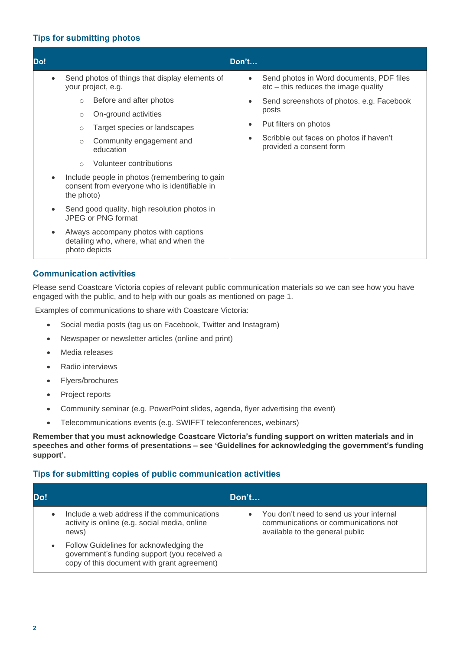# **Tips for submitting photos**

# **Communication activities**

Please send Coastcare Victoria copies of relevant public communication materials so we can see how you have engaged with the public, and to help with our goals as mentioned on page 1.

Examples of communications to share with Coastcare Victoria:

- Social media posts (tag us on Facebook, Twitter and Instagram)
- Newspaper or newsletter articles (online and print)
- Media releases
- Radio interviews
- Flyers/brochures
- Project reports
- Community seminar (e.g. PowerPoint slides, agenda, flyer advertising the event)
- Telecommunications events (e.g. SWIFFT teleconferences, webinars)

**Remember that you must acknowledge Coastcare Victoria's funding support on written materials and in speeches and other forms of presentations – see 'Guidelines for acknowledging the government's funding support'.**

# **Tips for submitting copies of public communication activities**

| Do!       |                                                                                                                                        | Don't                                                                                                              |
|-----------|----------------------------------------------------------------------------------------------------------------------------------------|--------------------------------------------------------------------------------------------------------------------|
|           | Include a web address if the communications<br>activity is online (e.g. social media, online<br>news)                                  | You don't need to send us your internal<br>communications or communications not<br>available to the general public |
| $\bullet$ | Follow Guidelines for acknowledging the<br>government's funding support (you received a<br>copy of this document with grant agreement) |                                                                                                                    |